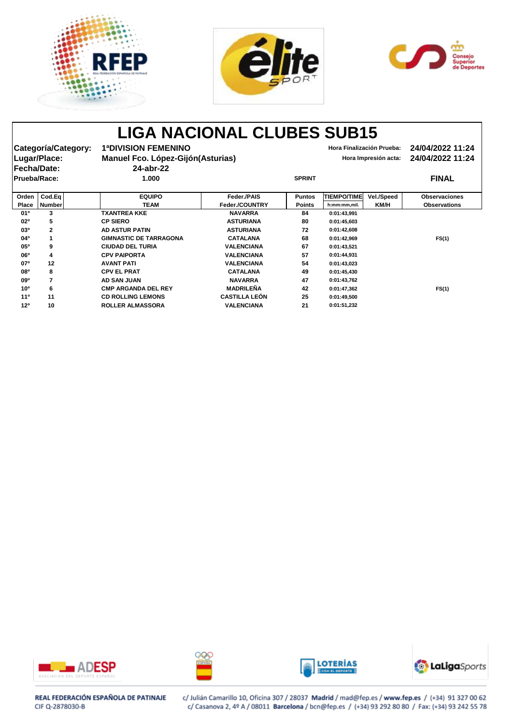





# **LIGA NACIONAL CLUBES SUB15**

| Categoría/Category:<br>Lugar/Place:<br><b> Fecha/Date:</b> |                         | <b>1ªDIVISION FEMENINO</b><br>Manuel Fco. López-Gijón (Asturias)<br>24-abr-22 |                      |               | Hora Finalización Prueba: | Hora Impresión acta: | 24/04/2022 11:24<br>24/04/2022 11:24 |  |
|------------------------------------------------------------|-------------------------|-------------------------------------------------------------------------------|----------------------|---------------|---------------------------|----------------------|--------------------------------------|--|
| <b>Prueba/Race:</b>                                        |                         | 1.000                                                                         | <b>SPRINT</b>        |               |                           |                      | <b>FINAL</b>                         |  |
| Orden                                                      | Cod.Eq                  | <b>EQUIPO</b>                                                                 | <b>Feder /PAIS</b>   | <b>Puntos</b> | <b>TIEMPO/TIME</b>        | <b>Vel./Speed</b>    | <b>Observaciones</b>                 |  |
| <b>Place</b>                                               | <b>Number</b>           | TEAM                                                                          | Feder./COUNTRY       | <b>Points</b> | h:mm:mm,mil.              | KM/H                 | <b>Observations</b>                  |  |
| 01 <sup>o</sup>                                            | 3                       | <b>TXANTREA KKE</b>                                                           | <b>NAVARRA</b>       | 84            | 0:01:43,991               |                      |                                      |  |
| 02 <sup>o</sup>                                            | 5                       | <b>CP SIERO</b>                                                               | <b>ASTURIANA</b>     | 80            | 0:01:45,603               |                      |                                      |  |
| 03°                                                        | $\mathbf 2$             | <b>AD ASTUR PATIN</b>                                                         | <b>ASTURIANA</b>     | 72            | 0:01:42,608               |                      |                                      |  |
| 04°                                                        |                         | <b>GIMNASTIC DE TARRAGONA</b>                                                 | <b>CATALANA</b>      | 68            | 0:01:42,969               |                      | FS(1)                                |  |
| 05 <sup>o</sup>                                            | $\boldsymbol{9}$        | <b>CIUDAD DEL TURIA</b>                                                       | <b>VALENCIANA</b>    | 67            | 0:01:43,521               |                      |                                      |  |
| 06 <sup>o</sup>                                            | 4                       | <b>CPV PAIPORTA</b>                                                           | <b>VALENCIANA</b>    | 57            | 0:01:44,931               |                      |                                      |  |
| 07 <sup>o</sup>                                            | 12                      | <b>AVANT PATI</b>                                                             | <b>VALENCIANA</b>    | 54            | 0:01:43,023               |                      |                                      |  |
| <b>08°</b>                                                 | 8                       | <b>CPV EL PRAT</b>                                                            | <b>CATALANA</b>      | 49            | 0:01:45,430               |                      |                                      |  |
| 09 <sup>o</sup>                                            | $\overline{\mathbf{z}}$ | <b>AD SAN JUAN</b>                                                            | <b>NAVARRA</b>       | 47            | 0:01:43,762               |                      |                                      |  |
| 10 <sup>o</sup>                                            | $6\phantom{1}6$         | <b>CMP ARGANDA DEL REY</b>                                                    | <b>MADRILEÑA</b>     | 42            | 0:01:47,362               |                      | FS(1)                                |  |
| 11 <sup>0</sup>                                            | 11                      | <b>CD ROLLING LEMONS</b>                                                      | <b>CASTILLA LEÓN</b> | 25            | 0:01:49,500               |                      |                                      |  |
| 12 <sup>o</sup>                                            | 10                      | <b>ROLLER ALMASSORA</b>                                                       | <b>VALENCIANA</b>    | 21            | 0:01:51,232               |                      |                                      |  |









## REAL FEDERACIÓN ESPAÑOLA DE PATINAJE CIF Q-2878030-B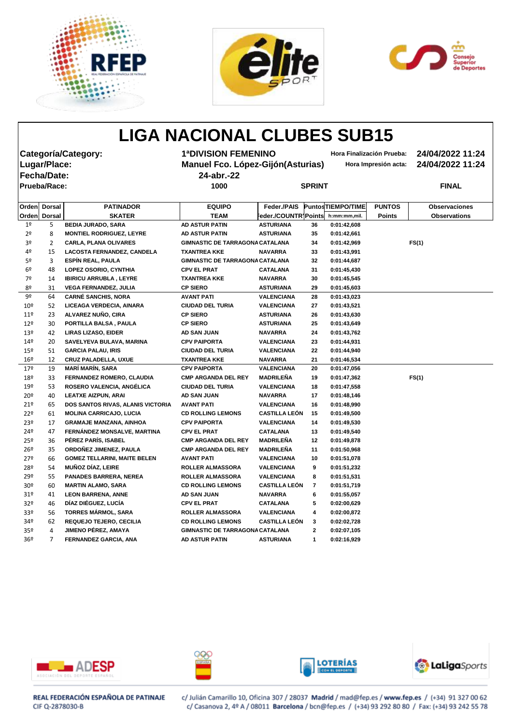





## **LIGA NACIONAL CLUBES SUB15 Categoría/Category: 1ªDIVISION FEMENINO Hora Finalización Prueba: 24/04/2022 11:24 Lugar/Place: Manuel Fco. López-Gijón(Asturias) Hora Impresión acta: 24/04/2022 11:24 Fecha/Date: 24-abr.-22 Prueba/Race: 1000 SPRINT FINAL Orden Dorsal PATINADOR EQUIPO Feder./PAIS PuntosTIEMPO/TIME PUNTOS Observaciones Orden Dorsal SKATER TEAM Feder./COUNTRYPoints h:mm:mm,mil. Points Observations** 1º 5 **BEDIA JURADO, SARA AD ASTUR PATIN ASTURIANA 36 0:01:42,608** 2º 8 **MONTIEL RODRIGUEZ, LEYRE AD ASTUR PATIN ASTURIANA 35 0:01:42,661** 3º 2 **CARLA, PLANA OLIVARES GIMNASTIC DE TARRAGONACATALANA 34 0:01:42,969 FS(1)** 4º 15 **LACOSTA FERNANDEZ, CANDELA TXANTREA KKE NAVARRA 33 0:01:43,991** 5º 3 **ESPÍN REAL, PAULA GIMNASTIC DE TARRAGONACATALANA 32 0:01:44,687** 6º 48 **LOPEZ OSORIO, CYNTHIA CPV EL PRAT CATALANA 31 0:01:45,430** 7º 14 **IBIRICU ARRUBLA , LEYRE TXANTREA KKE NAVARRA 30 0:01:45,545** 8º 31 **VEGA FERNANDEZ, JULIA CP SIERO ASTURIANA 29 0:01:45,603** 9º 64 **CARNÉ SANCHIS, NORA AVANT PATI VALENCIANA 28 0:01:43,023** 10º 52 **LICEAGA VERDECIA, AINARA CIUDAD DEL TURIA VALENCIANA 27 0:01:43,521** 11º 23 **ALVAREZ NUÑO, CIRA CP SIERO ASTURIANA 26 0:01:43,630** 12º 30 **PORTILLA BALSA , PAULA CP SIERO ASTURIANA 25 0:01:43,649** 13º 42 **LIRAS LIZASO, EIDER AD SAN JUAN NAVARRA 24 0:01:43,762** 14º 20 **SAVELYEVA BULAVA, MARINA CPV PAIPORTA VALENCIANA 23 0:01:44,931** 15º 51 **GARCIA PALAU, IRIS CIUDAD DEL TURIA VALENCIANA 22 0:01:44,940** 16º 12 **CRUZ PALADELLA, UXUE TXANTREA KKE NAVARRA 21 0:01:46,534** 17º 19 **MARÍ MARÍN, SARA CPV PAIPORTA VALENCIANA 20 0:01:47,056** 18º 33 **FERNANDEZ ROMERO, CLAUDIA CMP ARGANDA DEL REY MADRILEÑA 19 0:01:47,362 FS(1)** 19º 53 **ROSERO VALENCIA, ANGÉLICA CIUDAD DEL TURIA VALENCIANA 18 0:01:47,558** 20º 40 **LEATXE AIZPUN, ARAI AD SAN JUAN NAVARRA 17 0:01:48,146** 21º 65 **DOS SANTOS RIVAS, ALANIS VICTORIA AVANT PATI VALENCIANA 16 0:01:48,990** 22º 61 **MOLINA CARRICAJO, LUCIA CD ROLLING LEMONS CASTILLA LEÓN 15 0:01:49,500**



23º 17 **GRAMAJE MANZANA, AINHOA CPV PAIPORTA VALENCIANA 14 0:01:49,530** 24º 47 **FERNÁNDEZ MONSALVE, MARTINA CPV EL PRAT CATALANA 13 0:01:49,540** 25º 36 **PÉREZ PARÍS, ISABEL CMP ARGANDA DEL REY MADRILEÑA 12 0:01:49,878** 26º 35 **ORDOÑEZ JIMENEZ, PAULA CMP ARGANDA DEL REY MADRILEÑA 11 0:01:50,968** 27º 66 **GOMEZ TELLARINI, MAITE BELEN AVANT PATI VALENCIANA 10 0:01:51,078** 28º 54 **MUÑOZ DÍAZ, LEIRE ROLLER ALMASSORA VALENCIANA 9 0:01:51,232** 29º 55 **PANADES BARRERA, NEREA ROLLER ALMASSORA VALENCIANA 8 0:01:51,531** 30º 60 **MARTIN ALAMO, SARA CD ROLLING LEMONS CASTILLA LEÓN 7 0:01:51,719** 31º 41 **LEON BARRENA, ANNE AD SAN JUAN NAVARRA 6 0:01:55,057** 32º 46 **DÍAZ DIÉGUEZ, LUCÍA CPV EL PRAT CATALANA 5 0:02:00,629** 33º 56 **TORRES MÁRMOL, SARA ROLLER ALMASSORA VALENCIANA 4 0:02:00,872** 34º 62 **REQUEJO TEJERO, CECILIA CD ROLLING LEMONS CASTILLA LEÓN 3 0:02:02,728** 35º 4 **JIMENO PÉREZ, AMAYA GIMNASTIC DE TARRAGONACATALANA 2 0:02:07,105** 36º 7 **FERNANDEZ GARCIA, ANA AD ASTUR PATIN ASTURIANA 1 0:02:16,929**

### REAL FEDERACIÓN ESPAÑOLA DE PATINAJE CIF Q-2878030-B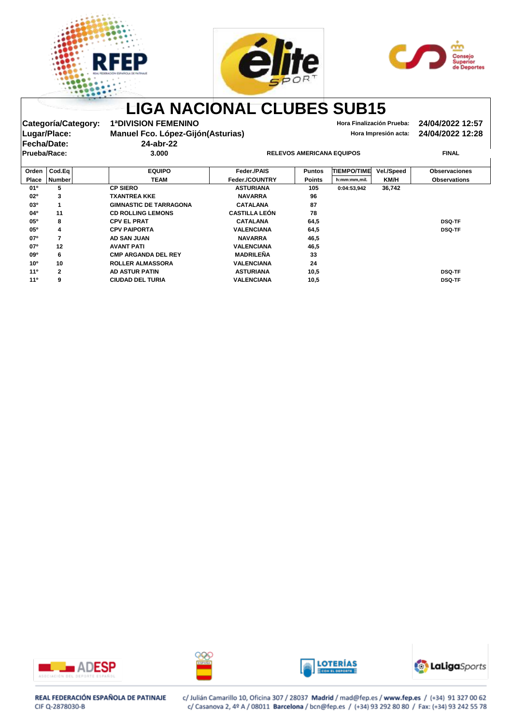





# **LIGA NACIONAL CLUBES SUB15**

Categoría/Category: 1ªDIVISION FEMENINO<br>Lugar/Place: Manuel Fco. López-Gijón(Asturias) **Hora Impresión acta:** 24/04/2022 12:28 **Manuel Fco. López-Gijón(Asturias) Manuel Fco. López-Gijón(Asturias) Hora Impresión acta: 24/04/2022 12:28 Prueba/Race: 3.000 RELEVOS AMERICANA EQUIPOS FINAL**

**Fecha/Date: 24-abr-22**

| Orden           | $\textsf{CodEq}\vert$ | <b>EQUIPO</b>                 | <b>Feder /PAIS</b>   | <b>Puntos</b> | <b>TIEMPO/TIME</b> | Vel./Speed  | <b>Observaciones</b> |
|-----------------|-----------------------|-------------------------------|----------------------|---------------|--------------------|-------------|----------------------|
| <b>Place</b>    | <b>Number</b>         | <b>TEAM</b>                   | Feder./COUNTRY       | <b>Points</b> | h:mm:mm,mil.       | <b>KM/H</b> | <b>Observations</b>  |
| $01^{\circ}$    | 5                     | <b>CP SIERO</b>               | <b>ASTURIANA</b>     | 105           | 0:04:53,942        | 36,742      |                      |
| $02^{\circ}$    | 3                     | <b>TXANTREA KKE</b>           | <b>NAVARRA</b>       | 96            |                    |             |                      |
| 03 <sup>o</sup> |                       | <b>GIMNASTIC DE TARRAGONA</b> | <b>CATALANA</b>      | 87            |                    |             |                      |
| $04^{\circ}$    | 11                    | <b>CD ROLLING LEMONS</b>      | <b>CASTILLA LEÓN</b> | 78            |                    |             |                      |
| 05°             | 8                     | <b>CPV EL PRAT</b>            | <b>CATALANA</b>      | 64,5          |                    |             | <b>DSQ-TF</b>        |
| 05 <sup>o</sup> | 4                     | <b>CPV PAIPORTA</b>           | <b>VALENCIANA</b>    | 64,5          |                    |             | <b>DSQ-TF</b>        |
| 07 <sup>o</sup> |                       | AD SAN JUAN                   | <b>NAVARRA</b>       | 46,5          |                    |             |                      |
| 07°             | 12                    | <b>AVANT PATI</b>             | <b>VALENCIANA</b>    | 46,5          |                    |             |                      |
| $09^{\circ}$    | 6                     | <b>CMP ARGANDA DEL REY</b>    | <b>MADRILEÑA</b>     | 33            |                    |             |                      |
| 10 <sup>o</sup> | 10                    | <b>ROLLER ALMASSORA</b>       | <b>VALENCIANA</b>    | 24            |                    |             |                      |
| 11 <sup>0</sup> | $\mathbf{2}$          | <b>AD ASTUR PATIN</b>         | <b>ASTURIANA</b>     | 10,5          |                    |             | <b>DSQ-TF</b>        |
| 11 <sup>0</sup> | 9                     | <b>CIUDAD DEL TURIA</b>       | <b>VALENCIANA</b>    | 10,5          |                    |             | <b>DSQ-TF</b>        |
|                 |                       |                               |                      |               |                    |             |                      |









## REAL FEDERACIÓN ESPAÑOLA DE PATINAJE CIF Q-2878030-B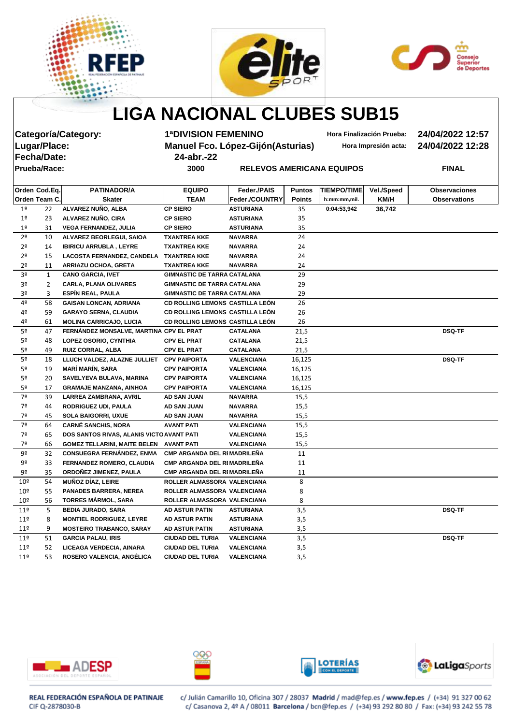





## **LIGA NACIONAL CLUBES SUB15**

| Categoría/Category: |  |
|---------------------|--|
| Lugar/Place:        |  |
| Fecha/Date:         |  |
| Prueba/Race:        |  |

**Categoría/Category: 1ªDIVISION FEMENINO Hora Finalización Prueba: 24/04/2022 12:57 Lugar/Place: Manuel Fco. López-Gijón(Asturias) Hora Impresión acta: 24/04/2022 12:28 Fecha/Date: 24-abr.-22**

**Property AMERICANA EQUIPOS AMERICANA EQUIPOS FINAL** 

|                 | Orden Cod.Eq. | <b>PATINADOR/A</b>                        | <b>EQUIPO</b>                      | Feder./PAIS           | <b>Puntos</b> | <b>TIEMPO/TIME</b> | <b>Vel./Speed</b> | <b>Observaciones</b> |
|-----------------|---------------|-------------------------------------------|------------------------------------|-----------------------|---------------|--------------------|-------------------|----------------------|
|                 | Orden Team C. | <b>Skater</b>                             | <b>TEAM</b>                        | <b>Feder./COUNTRY</b> | <b>Points</b> | h:mm:mm,mil.       | KM/H              | <b>Observations</b>  |
| 1 <sup>o</sup>  | 22            | ALVAREZ NUÑO, ALBA                        | <b>CP SIERO</b>                    | <b>ASTURIANA</b>      | 35            | 0:04:53,942        | 36,742            |                      |
| 1 <sup>o</sup>  | 23            | ALVAREZ NUÑO, CIRA                        | <b>CP SIERO</b>                    | <b>ASTURIANA</b>      | 35            |                    |                   |                      |
| 1 <sup>°</sup>  | 31            | <b>VEGA FERNANDEZ, JULIA</b>              | <b>CP SIERO</b>                    | <b>ASTURIANA</b>      | 35            |                    |                   |                      |
| 2 <sup>o</sup>  | 10            | ALVAREZ BEORLEGUI, SAIOA                  | <b>TXANTREA KKE</b>                | <b>NAVARRA</b>        | 24            |                    |                   |                      |
| 2 <sup>o</sup>  | 14            | <b>IBIRICU ARRUBLA, LEYRE</b>             | <b>TXANTREA KKE</b>                | <b>NAVARRA</b>        | 24            |                    |                   |                      |
| 2 <sup>o</sup>  | 15            | <b>LACOSTA FERNANDEZ, CANDELA</b>         | <b>TXANTREA KKE</b>                | <b>NAVARRA</b>        | 24            |                    |                   |                      |
| 2 <sup>o</sup>  | 11            | <b>ARRIAZU OCHOA, GRETA</b>               | <b>TXANTREA KKE</b>                | <b>NAVARRA</b>        | 24            |                    |                   |                      |
| 3 <sup>o</sup>  | 1             | <b>CANO GARCIA, IVET</b>                  | <b>GIMNASTIC DE TARRA CATALANA</b> |                       | 29            |                    |                   |                      |
| 3 <sup>o</sup>  | 2             | <b>CARLA, PLANA OLIVARES</b>              | <b>GIMNASTIC DE TARRA CATALANA</b> |                       | 29            |                    |                   |                      |
| 3º              | 3             | ESPÍN REAL, PAULA                         | <b>GIMNASTIC DE TARRA CATALANA</b> |                       | 29            |                    |                   |                      |
| 4º              | 58            | <b>GAISAN LONCAN, ADRIANA</b>             | CD ROLLING LEMONS CASTILLA LEÓN    |                       | 26            |                    |                   |                      |
| 4º              | 59            | <b>GARAYO SERNA, CLAUDIA</b>              | CD ROLLING LEMONS CASTILLA LEÓN    |                       | 26            |                    |                   |                      |
| 4º              | 61            | <b>MOLINA CARRICAJO, LUCIA</b>            | CD ROLLING LEMONS CASTILLA LEÓN    |                       | 26            |                    |                   |                      |
| 5º              | 47            | FERNÁNDEZ MONSALVE, MARTINA CPV EL PRAT   |                                    | <b>CATALANA</b>       | 21,5          |                    |                   | <b>DSQ-TF</b>        |
| 5 <sup>o</sup>  | 48            | LOPEZ OSORIO, CYNTHIA                     | <b>CPV EL PRAT</b>                 | <b>CATALANA</b>       | 21,5          |                    |                   |                      |
| 5º              | 49            | <b>RUIZ CORRAL, ALBA</b>                  | <b>CPV EL PRAT</b>                 | <b>CATALANA</b>       | 21,5          |                    |                   |                      |
| 5 <sup>o</sup>  | 18            | LLUCH VALDEZ, ALAZNE JULLIET CPV PAIPORTA |                                    | <b>VALENCIANA</b>     | 16,125        |                    |                   | <b>DSQ-TF</b>        |
| 5º              | 19            | <b>MARÍ MARÍN, SARA</b>                   | <b>CPV PAIPORTA</b>                | <b>VALENCIANA</b>     | 16,125        |                    |                   |                      |
| 5 <sup>o</sup>  | 20            | SAVELYEVA BULAVA, MARINA                  | <b>CPV PAIPORTA</b>                | <b>VALENCIANA</b>     | 16,125        |                    |                   |                      |
| 5º              | 17            | <b>GRAMAJE MANZANA, AINHOA</b>            | <b>CPV PAIPORTA</b>                | <b>VALENCIANA</b>     | 16,125        |                    |                   |                      |
| 7º              | 39            | LARREA ZAMBRANA, AVRIL                    | <b>AD SAN JUAN</b>                 | <b>NAVARRA</b>        | 15,5          |                    |                   |                      |
| 7º              | 44            | <b>RODRIGUEZ UDI, PAULA</b>               | <b>AD SAN JUAN</b>                 | <b>NAVARRA</b>        | 15,5          |                    |                   |                      |
| 7º              | 45            | <b>SOLA BAIGORRI, UXUE</b>                | <b>AD SAN JUAN</b>                 | <b>NAVARRA</b>        | 15,5          |                    |                   |                      |
| 7º              | 64            | <b>CARNÉ SANCHIS, NORA</b>                | <b>AVANT PATI</b>                  | <b>VALENCIANA</b>     | 15,5          |                    |                   |                      |
| 7º              | 65            | DOS SANTOS RIVAS, ALANIS VICTO AVANT PATI |                                    | <b>VALENCIANA</b>     | 15,5          |                    |                   |                      |
| 7º              | 66            | GOMEZ TELLARINI, MAITE BELEN AVANT PATI   |                                    | <b>VALENCIANA</b>     | 15,5          |                    |                   |                      |
| 9º              | 32            | <b>CONSUEGRA FERNÁNDEZ, ENMA</b>          | <b>CMP ARGANDA DEL RIMADRILENA</b> |                       | 11            |                    |                   |                      |
| 9º              | 33            | FERNANDEZ ROMERO, CLAUDIA                 | <b>CMP ARGANDA DEL RIMADRILEÑA</b> |                       | 11            |                    |                   |                      |
| 9º              | 35            | ORDOÑEZ JIMENEZ, PAULA                    | CMP ARGANDA DEL RIMADRILEÑA        |                       | 11            |                    |                   |                      |
| 10 <sup>°</sup> | 54            | <b>MUÑOZ DÍAZ, LEIRE</b>                  | ROLLER ALMASSORA VALENCIANA        |                       | 8             |                    |                   |                      |
| 10 <sup>°</sup> | 55            | <b>PANADES BARRERA, NEREA</b>             | ROLLER ALMASSORA VALENCIANA        |                       | 8             |                    |                   |                      |
| 10 <sup>°</sup> | 56            | <b>TORRES MÁRMOL, SARA</b>                | ROLLER ALMASSORA VALENCIANA        |                       | 8             |                    |                   |                      |
| 11 <sup>°</sup> | 5             | <b>BEDIA JURADO, SARA</b>                 | <b>AD ASTUR PATIN</b>              | <b>ASTURIANA</b>      | 3,5           |                    |                   | <b>DSQ-TF</b>        |
| $11^{\circ}$    | 8             | <b>MONTIEL RODRIGUEZ, LEYRE</b>           | AD ASTUR PATIN                     | <b>ASTURIANA</b>      | 3,5           |                    |                   |                      |
| $11^{\circ}$    | 9             | <b>MOSTEIRO TRABANCO, SARAY</b>           | <b>AD ASTUR PATIN</b>              | <b>ASTURIANA</b>      | 3,5           |                    |                   |                      |
| 11 <sup>°</sup> | 51            | <b>GARCIA PALAU, IRIS</b>                 | <b>CIUDAD DEL TURIA</b>            | <b>VALENCIANA</b>     | 3,5           |                    |                   | <b>DSQ-TF</b>        |
| 11 <sup>°</sup> | 52            | LICEAGA VERDECIA, AINARA                  | <b>CIUDAD DEL TURIA</b>            | <b>VALENCIANA</b>     | 3,5           |                    |                   |                      |
| 11 <sup>°</sup> | 53            | ROSERO VALENCIA, ANGÉLICA                 | <b>CIUDAD DEL TURIA</b>            | <b>VALENCIANA</b>     | 3,5           |                    |                   |                      |









REAL FEDERACIÓN ESPAÑOLA DE PATINAJE CIF Q-2878030-B